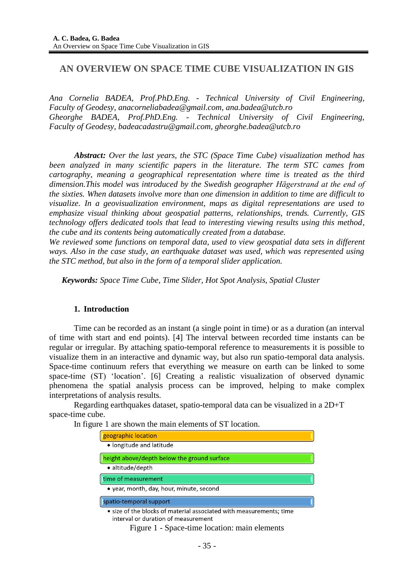# **AN OVERVIEW ON SPACE TIME CUBE VISUALIZATION IN GIS**

*Ana Cornelia BADEA, Prof.PhD.Eng. - Technical University of Civil Engineering, Faculty of Geodesy, [anacorneliabadea@gmail.com,](mailto:anacorneliabadea@gmail.com) [ana.badea@utcb.ro](mailto:ana.badea@utcb.ro) Gheorghe BADEA, Prof.PhD.Eng. - Technical University of Civil Engineering, Faculty of Geodesy, [badeacadastru@gmail.com,](mailto:badeacadastru@gmail.com) [gheorghe.badea@utcb.ro](mailto:gheorghe.badea@utcb.ro)*

*Abstract: Over the last years, the STC (Space Time Cube) visualization method has been analyzed in many scientific papers in the literature. The term STC cames from cartography, meaning a geographical representation where time is treated as the third dimension.This model was introduced by the Swedish geographer Hägerstrand at the end of the sixties. When datasets involve more than one dimension in addition to time are difficult to visualize. In a geovisualization environment, maps as digital representations are used to emphasize visual thinking about geospatial patterns, relationships, trends. Currently, GIS technology offers dedicated tools that lead to interesting viewing results using this method, the cube and its contents being automatically created from a database.*

*We reviewed some functions on temporal data, used to view geospatial data sets in different ways. Also in the case study, an earthquake dataset was used, which was represented using the STC method, but also in the form of a temporal slider application.*

*Keywords: Space Time Cube, Time Slider, Hot Spot Analysis, Spatial Cluster*

### **1. Introduction**

Time can be recorded as an instant (a single point in time) or as a duration (an interval of time with start and end points). [4] The interval between recorded time instants can be regular or irregular. By attaching spatio-temporal reference to measurements it is possible to visualize them in an interactive and dynamic way, but also run spatio-temporal data analysis. Space-time continuum refers that everything we measure on earth can be linked to some space-time (ST) "location". [6] Creating a realistic visualization of observed dynamic phenomena the spatial analysis process can be improved, helping to make complex interpretations of analysis results.

Regarding earthquakes dataset, spatio-temporal data can be visualized in a 2D+T space-time cube.

In figure 1 are shown the main elements of ST location.

| geographic location                                                                                        |
|------------------------------------------------------------------------------------------------------------|
| • longitude and latitude                                                                                   |
| height above/depth below the ground surface                                                                |
| • altitude/depth                                                                                           |
| time of measurement                                                                                        |
| • year, month, day, hour, minute, second                                                                   |
| spatio-temporal support                                                                                    |
| • size of the blocks of material associated with measurements; time<br>interval or duration of measurement |

Figure 1 - Space-time location: main elements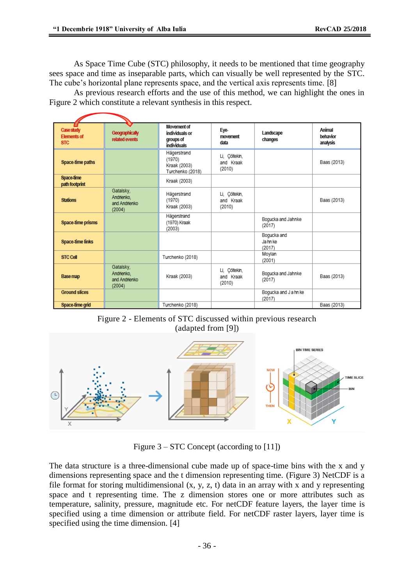As Space Time Cube (STC) philosophy, it needs to be mentioned that time geography sees space and time as inseparable parts, which can visually be well represented by the STC. The cube's horizontal plane represents space, and the vertical axis represents time. [8]

As previous research efforts and the use of this method, we can highlight the ones in Figure 2 which constitute a relevant synthesis in this respect.

| Case study<br><b>Elements of</b><br><b>STC</b> | Geographically<br>related events                   | Movement of<br>individuals or<br>groups of<br>individuals | Eye-<br>movement<br>data             | Landscape<br>changes             | Animal<br>behavior<br>analysis |
|------------------------------------------------|----------------------------------------------------|-----------------------------------------------------------|--------------------------------------|----------------------------------|--------------------------------|
| Space-time paths                               |                                                    | Hägerstrand<br>(1970)<br>Kraak (2003)<br>Turchenko (2018) | Li, Çöltekin,<br>and Kraak<br>(2010) |                                  | Baas (2013)                    |
| Space-time<br>path footprint                   |                                                    | Kraak (2003)                                              |                                      |                                  |                                |
| <b>Stations</b>                                | Gatalsky,<br>Andrienko.<br>and Andrienko<br>(2004) | Hägerstrand<br>(1970)<br>Kraak (2003)                     | Li, Cöltekin,<br>and Kraak<br>(2010) |                                  | Baas (2013)                    |
| Space-time prisms                              |                                                    | Hägerstrand<br>(1970) Kraak<br>(2003)                     |                                      | Bogucka and Jahnke<br>(2017)     |                                |
| <b>Space-time links</b>                        |                                                    |                                                           |                                      | Boqucka and<br>Jahn ke<br>(2017) |                                |
| <b>STC Cell</b>                                |                                                    | Turchenko (2018)                                          |                                      | Moylan<br>(2001)                 |                                |
| Base map                                       | Gatalsky,<br>Andrienko,<br>and Andrienko<br>(2004) | Kraak (2003)                                              | Li, Çöltekin,<br>and Kraak<br>(2010) | Bogucka and Jahnke<br>(2017)     | Baas (2013)                    |
| <b>Ground slices</b>                           |                                                    |                                                           |                                      | Bogucka and J a hn ke<br>(2017)  |                                |
| Space-time grid                                |                                                    | Turchenko (2018)                                          |                                      |                                  | Baas (2013)                    |

Figure 2 - Elements of STC discussed within previous research (adapted from [9])



Figure 3 – STC Concept (according to [11])

The data structure is a three-dimensional cube made up of space-time bins with the x and y dimensions representing space and the t dimension representing time. (Figure 3) NetCDF is a file format for storing multidimensional (x, y, z, t) data in an array with x and y representing space and t representing time. The z dimension stores one or more attributes such as temperature, salinity, pressure, magnitude etc. For netCDF feature layers, the layer time is specified using a time dimension or attribute field. For netCDF raster layers, layer time is specified using the time dimension. [4]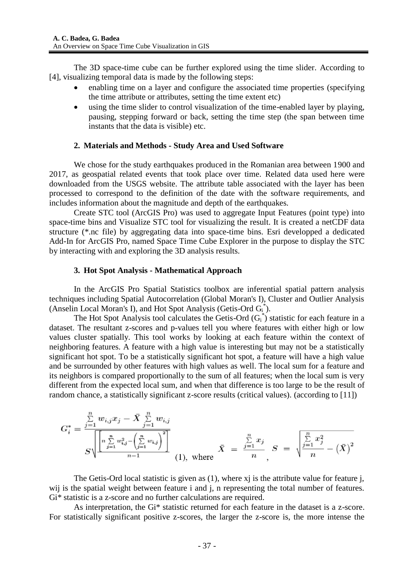The 3D space-time cube can be further explored using the time slider. According to [4], visualizing temporal data is made by the following steps:

- enabling time on a layer and configure the associated time properties (specifying the time attribute or attributes, setting the time extent etc)
- using the time slider to control visualization of the time-enabled layer by playing, pausing, stepping forward or back, setting the time step (the span between time instants that the data is visible) etc.

#### **2. Materials and Methods - Study Area and Used Software**

We chose for the study earthquakes produced in the Romanian area between 1900 and 2017, as geospatial related events that took place over time. Related data used here were downloaded from the USGS website. The attribute table associated with the layer has been processed to correspond to the definition of the date with the software requirements, and includes information about the magnitude and depth of the earthquakes.

Create STC tool (ArcGIS Pro) was used to aggregate Input Features (point type) into space-time bins and Visualize STC tool for visualizing the result. It is created a netCDF data structure (\*.nc file) by aggregating data into space-time bins. Esri developped a dedicated Add-In for ArcGIS Pro, named Space Time Cube Explorer in the purpose to display the STC by interacting with and exploring the 3D analysis results.

#### **3. Hot Spot Analysis - Mathematical Approach**

In the ArcGIS Pro Spatial Statistics toolbox are inferential spatial pattern analysis techniques including Spatial Autocorrelation (Global Moran's I), Cluster and Outlier Analysis (Anselin Local Moran's I), and Hot Spot Analysis (Getis-Ord G<sub>i</sub><sup>\*</sup>).

The Hot Spot Analysis tool calculates the Getis-Ord  $(G_i^*)$  statistic for each feature in a dataset. The resultant z-scores and p-values tell you where features with either high or low values cluster spatially. This tool works by looking at each feature within the context of neighboring features. A feature with a high value is interesting but may not be a statistically significant hot spot. To be a statistically significant hot spot, a feature will have a high value and be surrounded by other features with high values as well. The local sum for a feature and its neighbors is compared proportionally to the sum of all features; when the local sum is very different from the expected local sum, and when that difference is too large to be the result of random chance, a statistically significant z-score results (critical values). (according to [\[11\]\)](http://pro.arcgis.com/en/pro-app/tool-reference/space-time-pattern-mining/create-space-time-cube.htm)

$$
G_i^* = \frac{\sum_{j=1}^n w_{i,j} x_j - \bar{X} \sum_{j=1}^n w_{i,j}}{S \sqrt{\frac{\left[ n \sum_{j=1}^n w_{i,j}^2 - \left( \sum_{j=1}^n w_{i,j} \right)^2 \right]}{n-1}}}
$$
 (1), where  $\bar{X} = \frac{\sum_{j=1}^n x_j}{n}$ ,  $S = \sqrt{\frac{\sum_{j=1}^n x_j^2}{n} - (\bar{X})^2}$ 

The Getis-Ord local statistic is given as (1), where xj is the attribute value for feature j, wij is the spatial weight between feature i and j, n representing the total number of features. Gi\* statistic is a z-score and no further calculations are required.

As interpretation, the Gi\* statistic returned for each feature in the dataset is a z-score. For statistically significant positive z-scores, the larger the z-score is, the more intense the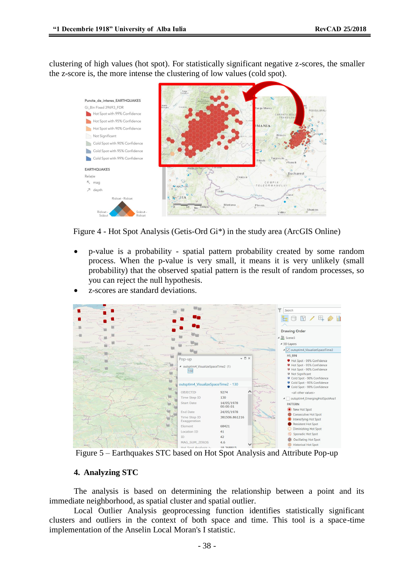clustering of high values (hot spot). For statistically significant negative z-scores, the smaller the z-score is, the more intense the clustering of low values (cold spot).



Figure 4 - Hot Spot Analysis (Getis-Ord Gi\*) in the study area (ArcGIS Online)

- p-value is a probability spatial pattern probability created by some random process. When the p-value is very small, it means it is very unlikely (small probability) that the observed spatial pattern is the result of random processes, so you can reject the null hypothesis.
- z-scores are standard deviations.



Figure 5 – Earthquakes STC based on Hot Spot Analysis and Attribute Pop-up

### **4. Analyzing STC**

The analysis is based on determining the relationship between a point and its immediate neighborhood, as spatial cluster and spatial outlier.

Local Outlier Analysis geoprocessing function identifies statistically significant clusters and outliers in the context of both space and time. This tool is a space-time implementation of the Anselin Local Moran's I statistic.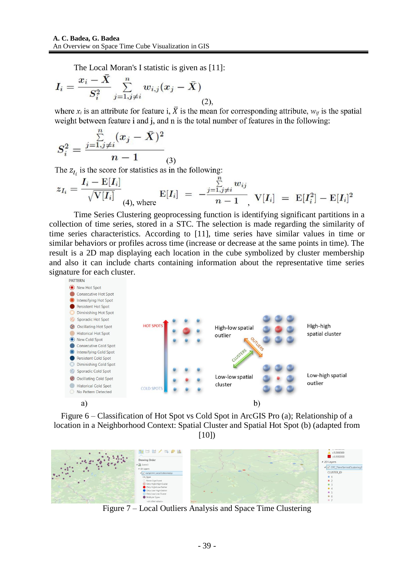The Local Moran's I statistic is given as [11]:

$$
I_i = \frac{x_i - X}{S_i^2} \sum_{j=1, j \neq i}^{n} w_{i,j} (x_j - \bar{X})
$$
 (2)

where  $x_i$  is an attribute for feature i,  $\overline{X}$  is the mean for corresponding attribute,  $w_{ii}$  is the spatial weight between feature i and j, and n is the total number of features in the following:

$$
S_i^2 = \frac{\sum\limits_{j=1,j\neq i}^{n}(x_j-\bar{X})^2}{n-1}_{(3)}
$$

The  $z_{I_i}$  is the score for statistics as in the following:

5)

$$
z_{I_i} = \frac{I_i - \mathrm{E}[I_i]}{\sqrt{\mathrm{V}[I_i]}}\mathop{\rm E{}}\nolimits_{(4), \text{ where } } \mathrm{E}[I_i] \ = \ -\frac{\sum\limits_{j=1,j\neq i}^{n} w_{ij}}{n-1}, \ \mathrm{V}[I_i] \ = \ \mathrm{E}[I_i^2] - \mathrm{E}[I_i]^2
$$

Time Series Clustering geoprocessing function is identifying significant partitions in a collection of time series, stored in a STC. The selection is made regarding the similarity of time series characteristics. According to [\[11\],](http://pro.arcgis.com/) time series have similar values in time or similar behaviors or profiles across time (increase or decrease at the same points in time). The result is a 2D map displaying each location in the cube symbolized by cluster membership and also it can include charts containing information about the representative time series signature for each cluster.



Figure 6 – Classification of Hot Spot vs Cold Spot in ArcGIS Pro (a); Relationship of a location in a Neighborhood Context: Spatial Cluster and Spatial Hot Spot (b) (adapted from

[10])



Figure 7 – Local Outliers Analysis and Space Time Clustering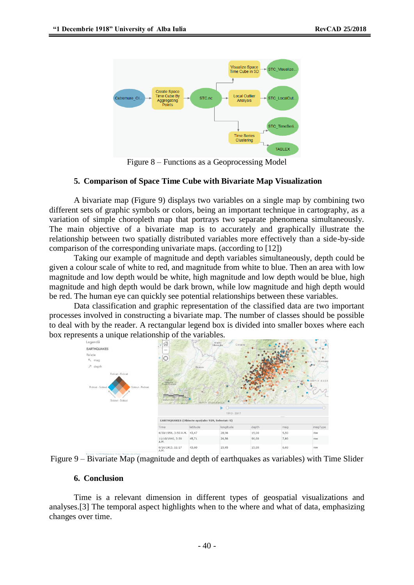

Figure 8 – Functions as a Geoprocessing Model

### **5. Comparison of Space Time Cube with Bivariate Map Visualization**

A bivariate map (Figure 9) displays two variables on a single map by combining two different sets of graphic symbols or colors, being an important technique in cartography, as a variation of simple choropleth map that portrays two separate phenomena simultaneously. The main objective of a bivariate map is to accurately and graphically illustrate the relationship between two spatially distributed variables more effectively than a side-by-side comparison of the corresponding univariate maps. (according to [12])

Taking our example of magnitude and depth variables simultaneously, depth could be given a colour scale of white to red, and magnitude from white to blue. Then an area with low magnitude and low depth would be white, high magnitude and low depth would be blue, high magnitude and high depth would be dark brown, while low magnitude and high depth would be red. The human eye can quickly see potential relationships between these variables.

Data classification and graphic representation of the classified data are two important processes involved in constructing a bivariate map. The number of classes should be possible to deal with by the reader. A rectangular legend box is divided into smaller boxes where each box represents a unique relationship of the variables.





#### **6. Conclusion**

Time is a relevant dimension in different types of geospatial visualizations and analyses.[3] The temporal aspect highlights when to the where and what of data, emphasizing changes over time.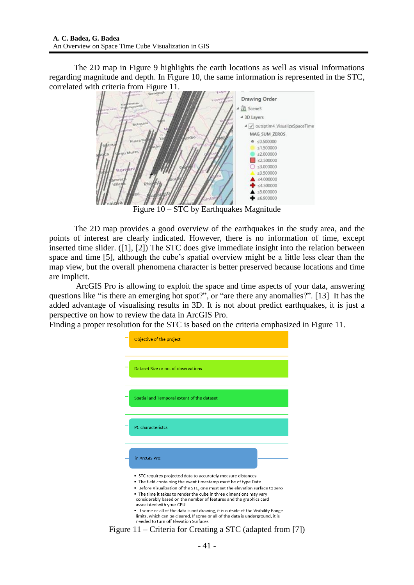The 2D map in Figure 9 highlights the earth locations as well as visual informations regarding magnitude and depth. In Figure 10, the same information is represented in the STC, correlated with criteria from Figure 11.



Figure 10 – STC by Earthquakes Magnitude

The 2D map provides a good overview of the earthquakes in the study area, and the points of interest are clearly indicated. However, there is no information of time, except inserted time slider. ([1], [2]) The STC does give immediate insight into the relation between space and time [5], although the cube"s spatial overview might be a little less clear than the map view, but the overall phenomena character is better preserved because locations and time are implicit.

ArcGIS Pro is allowing to exploit the space and time aspects of your data, answering questions like "is there an emerging hot spot?", or "are there any anomalies?". [13] It has the added advantage of visualising results in 3D. It is not about predict earthquakes, it is just a perspective on how to review the data in ArcGIS Pro.

Finding a proper resolution for the STC is based on the criteria emphasized in Figure 11.



Figure 11 – Criteria for Creating a STC (adapted from [7])